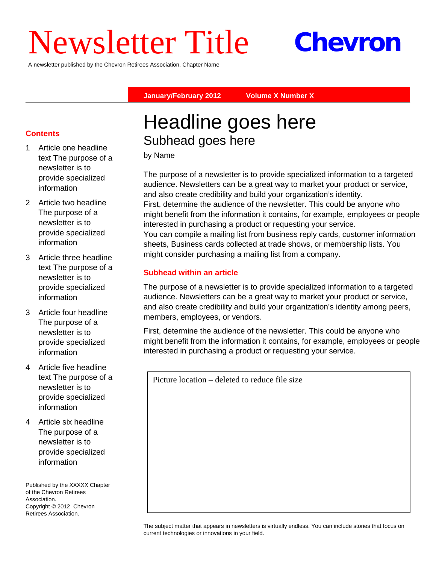# Newsletter Title

A newsletter published by the Chevron Retirees Association, Chapter Name

#### **January/February 2012 Volume X Number X**

 **Chevron**

#### **Contents**

- 1 Article one headline text The purpose of a newsletter is to provide specialized information
- 2 Article two headline The purpose of a newsletter is to provide specialized information
- 3 Article three headline text The purpose of a newsletter is to provide specialized information
- 3 Article four headline The purpose of a newsletter is to provide specialized information
- 4 Article five headline text The purpose of a newsletter is to provide specialized information
- 4 Article six headline The purpose of a newsletter is to provide specialized information

Published by the XXXXX Chapter of the Chevron Retirees Association. Copyright © 2012 Chevron Retirees Association.

# Headline goes here Subhead goes here

by Name

The purpose of a newsletter is to provide specialized information to a targeted audience. Newsletters can be a great way to market your product or service, and also create credibility and build your organization's identity. First, determine the audience of the newsletter. This could be anyone who might benefit from the information it contains, for example, employees or people interested in purchasing a product or requesting your service. You can compile a mailing list from business reply cards, customer information sheets, Business cards collected at trade shows, or membership lists. You might consider purchasing a mailing list from a company.

#### **Subhead within an article**

The purpose of a newsletter is to provide specialized information to a targeted audience. Newsletters can be a great way to market your product or service, and also create credibility and build your organization's identity among peers, members, employees, or vendors.

First, determine the audience of the newsletter. This could be anyone who might benefit from the information it contains, for example, employees or people interested in purchasing a product or requesting your service.

Picture location – deleted to reduce file size

The subject matter that appears in newsletters is virtually endless. You can include stories that focus on current technologies or innovations in your field.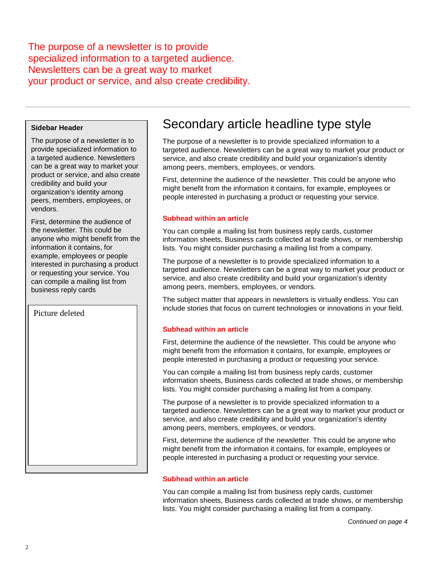The purpose of a newsletter is to provide specialized information to a targeted audience. Newsletters can be a great way to market your product or service, and also create credibility.

#### **Sidebar Header**

The purpose of a newsletter is to provide specialized information to a targeted audience. Newsletters can be a great way to market your product or service, and also create credibility and build your organization's identity among peers, members, employees, or vendors.

First, determine the audience of the newsletter. This could be anyone who might benefit from the information it contains, for example, employees or people interested in purchasing a product or requesting your service. You can compile a mailing list from business reply cards

Picture deleted

### Secondary article headline type style

The purpose of a newsletter is to provide specialized information to a targeted audience. Newsletters can be a great way to market your product or service, and also create credibility and build your organization's identity among peers, members, employees, or vendors.

First, determine the audience of the newsletter. This could be anyone who might benefit from the information it contains, for example, employees or people interested in purchasing a product or requesting your service.

#### **Subhead within an article**

You can compile a mailing list from business reply cards, customer information sheets, Business cards collected at trade shows, or membership lists. You might consider purchasing a mailing list from a company.

The purpose of a newsletter is to provide specialized information to a targeted audience. Newsletters can be a great way to market your product or service, and also create credibility and build your organization's identity among peers, members, employees, or vendors.

The subject matter that appears in newsletters is virtually endless. You can include stories that focus on current technologies or innovations in your field.

#### **Subhead within an article**

First, determine the audience of the newsletter. This could be anyone who might benefit from the information it contains, for example, employees or people interested in purchasing a product or requesting your service.

You can compile a mailing list from business reply cards, customer information sheets, Business cards collected at trade shows, or membership lists. You might consider purchasing a mailing list from a company.

The purpose of a newsletter is to provide specialized information to a targeted audience. Newsletters can be a great way to market your product or service, and also create credibility and build your organization's identity among peers, members, employees, or vendors.

First, determine the audience of the newsletter. This could be anyone who might benefit from the information it contains, for example, employees or people interested in purchasing a product or requesting your service.

#### **Subhead within an article**

You can compile a mailing list from business reply cards, customer information sheets, Business cards collected at trade shows, or membership lists. You might consider purchasing a mailing list from a company.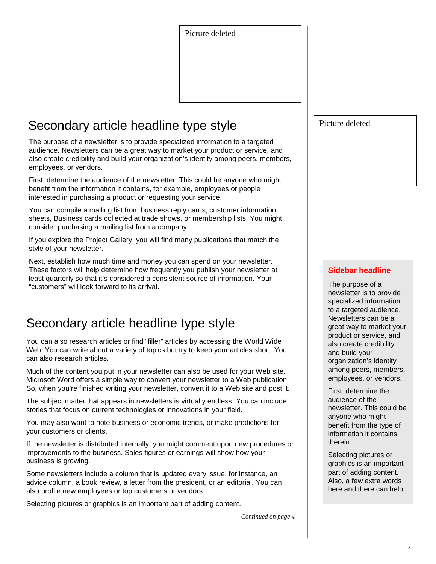# Secondary article headline type style

The purpose of a newsletter is to provide specialized information to a targeted audience. Newsletters can be a great way to market your product or service, and also create credibility and build your organization's identity among peers, members, employees, or vendors.

First, determine the audience of the newsletter. This could be anyone who might benefit from the information it contains, for example, employees or people interested in purchasing a product or requesting your service.

You can compile a mailing list from business reply cards, customer information sheets, Business cards collected at trade shows, or membership lists. You might consider purchasing a mailing list from a company.

If you explore the Project Gallery, you will find many publications that match the style of your newsletter.

Next, establish how much time and money you can spend on your newsletter. These factors will help determine how frequently you publish your newsletter at least quarterly so that it's considered a consistent source of information. Your "customers" will look forward to its arrival.

# Secondary article headline type style

You can also research articles or find "filler" articles by accessing the World Wide Web. You can write about a variety of topics but try to keep your articles short. You can also research articles.

Much of the content you put in your newsletter can also be used for your Web site. Microsoft Word offers a simple way to convert your newsletter to a Web publication. So, when you're finished writing your newsletter, convert it to a Web site and post it.

The subject matter that appears in newsletters is virtually endless. You can include stories that focus on current technologies or innovations in your field.

You may also want to note business or economic trends, or make predictions for your customers or clients.

If the newsletter is distributed internally, you might comment upon new procedures or improvements to the business. Sales figures or earnings will show how your business is growing.

Some newsletters include a column that is updated every issue, for instance, an advice column, a book review, a letter from the president, or an editorial. You can also profile new employees or top customers or vendors.

Selecting pictures or graphics is an important part of adding content.

*Continued on page 4*

Picture deleted

#### **Sidebar headline**

The purpose of a newsletter is to provide specialized information to a targeted audience. Newsletters can be a great way to market your product or service, and also create credibility and build your organization's identity among peers, members, employees, or vendors.

First, determine the audience of the newsletter. This could be anyone who might benefit from the type of information it contains therein.

Selecting pictures or graphics is an important part of adding content. Also, a few extra words here and there can help.